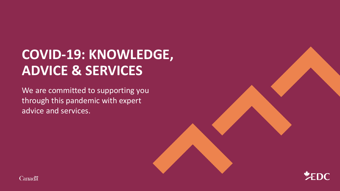# **COVID-19: KNOWLEDGE, ADVICE & SERVICES**

We are committed to supporting you through this pandemic with expert advice and services.



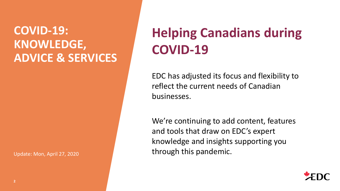### **COVID-19: KNOWLEDGE, ADVICE & SERVICES**

Update: Mon, April 27, 2020

# **Helping Canadians during COVID-19**

EDC has adjusted its focus and flexibility to reflect the current needs of Canadian businesses.

We're continuing to add content, features and tools that draw on EDC's expert knowledge and insights supporting you through this pandemic.

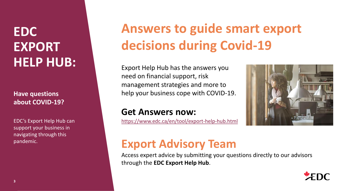## **EDC EXPORT HELP HUB:** Export Help Hub has the answers you

### **Have questions about COVID-19?**

EDC's Export Help Hub can support your business in navigating through this pandemic.

# **Answers to guide smart export decisions during Covid-19**

need on financial support, risk management strategies and more to help your business cope with COVID-19.



### **Get Answers now:**

<https://www.edc.ca/en/tool/export-help-hub.html>

### **Export Advisory Team**

Access expert advice by submitting your questions directly to our advisors through the **EDC Export Help Hub**.

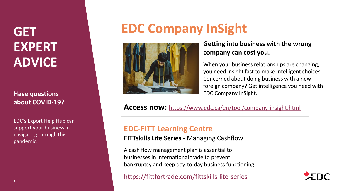## **GET EXPERT ADVICE**

### **Have questions about COVID-19?**

EDC's Export Help Hub can support your business in navigating through this pandemic.

## **EDC Company InSight**



### **Getting into business with the wrong company can cost you.**

When your business relationships are changing, you need insight fast to make intelligent choices. Concerned about doing business with a new foreign company? Get intelligence you need with EDC Company InSight.

**Access now:** <https://www.edc.ca/en/tool/company-insight.html>

### **EDC-FITT Learning Centre**

#### **FITTskills Lite Series** - Managing Cashflow

A cash flow management plan is essential to businesses in international trade to prevent bankruptcy and keep day-to-day business functioning.

<https://fittfortrade.com/fittskills-lite-series>

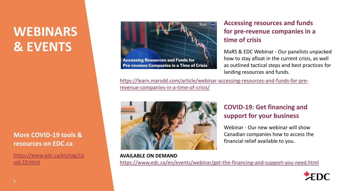## **WEBINARS & EVENTS**

### **More COVID-19 tools & resources on EDC.ca**

[https://www.edc.ca/en/tag/co](https://www.edc.ca/en/tag/covid-19.html) vid-19.html



#### **Accessing resources and funds for pre-revenue companies in a time of crisis**

MaRS & EDC Webinar - Our panelists unpacked how to stay afloat in the current crisis, as well as outlined tactical steps and best practices for landing resources and funds.

[https://learn.marsdd.com/article/webinar-accessing-resources-and-funds-for-pre](https://learn.marsdd.com/article/webinar-accessing-resources-and-funds-for-pre-revenue-companies-in-a-time-of-crisis/)revenue-companies-in-a-time-of-crisis/



### **COVID-19: Get financing and support for your business**

Webinar - Our new webinar will show Canadian companies how to access the financial relief available to you.

**AVAILABLE ON DEMAND** <https://www.edc.ca/en/events/webinar/get-the-financing-and-support-you-need.html>

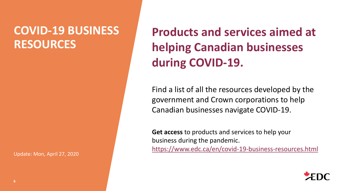### **COVID-19 BUSINESS RESOURCES**

Update: Mon, April 27, 2020

## **Products and services aimed at helping Canadian businesses during COVID-19.**

Find a list of all the resources developed by the government and Crown corporations to help Canadian businesses navigate COVID-19.

**Get access** to products and services to help your business during the pandemic. <https://www.edc.ca/en/covid-19-business-resources.html>